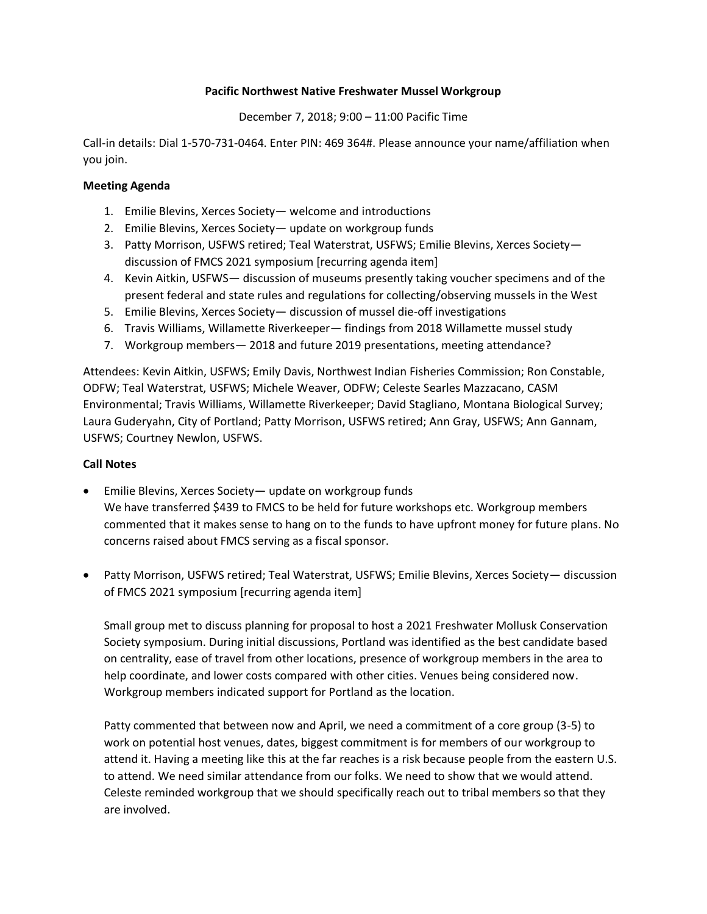## **Pacific Northwest Native Freshwater Mussel Workgroup**

## December 7, 2018; 9:00 – 11:00 Pacific Time

Call-in details: Dial 1-570-731-0464. Enter PIN: 469 364#. Please announce your name/affiliation when you join.

## **Meeting Agenda**

- 1. Emilie Blevins, Xerces Society— welcome and introductions
- 2. Emilie Blevins, Xerces Society— update on workgroup funds
- 3. Patty Morrison, USFWS retired; Teal Waterstrat, USFWS; Emilie Blevins, Xerces Society discussion of FMCS 2021 symposium [recurring agenda item]
- 4. Kevin Aitkin, USFWS— discussion of museums presently taking voucher specimens and of the present federal and state rules and regulations for collecting/observing mussels in the West
- 5. Emilie Blevins, Xerces Society— discussion of mussel die-off investigations
- 6. Travis Williams, Willamette Riverkeeper— findings from 2018 Willamette mussel study
- 7. Workgroup members— 2018 and future 2019 presentations, meeting attendance?

Attendees: Kevin Aitkin, USFWS; Emily Davis, Northwest Indian Fisheries Commission; Ron Constable, ODFW; Teal Waterstrat, USFWS; Michele Weaver, ODFW; Celeste Searles Mazzacano, CASM Environmental; Travis Williams, Willamette Riverkeeper; David Stagliano, Montana Biological Survey; Laura Guderyahn, City of Portland; Patty Morrison, USFWS retired; Ann Gray, USFWS; Ann Gannam, USFWS; Courtney Newlon, USFWS.

## **Call Notes**

- Emilie Blevins, Xerces Society— update on workgroup funds We have transferred \$439 to FMCS to be held for future workshops etc. Workgroup members commented that it makes sense to hang on to the funds to have upfront money for future plans. No concerns raised about FMCS serving as a fiscal sponsor.
- Patty Morrison, USFWS retired; Teal Waterstrat, USFWS; Emilie Blevins, Xerces Society— discussion of FMCS 2021 symposium [recurring agenda item]

Small group met to discuss planning for proposal to host a 2021 Freshwater Mollusk Conservation Society symposium. During initial discussions, Portland was identified as the best candidate based on centrality, ease of travel from other locations, presence of workgroup members in the area to help coordinate, and lower costs compared with other cities. Venues being considered now. Workgroup members indicated support for Portland as the location.

Patty commented that between now and April, we need a commitment of a core group (3-5) to work on potential host venues, dates, biggest commitment is for members of our workgroup to attend it. Having a meeting like this at the far reaches is a risk because people from the eastern U.S. to attend. We need similar attendance from our folks. We need to show that we would attend. Celeste reminded workgroup that we should specifically reach out to tribal members so that they are involved.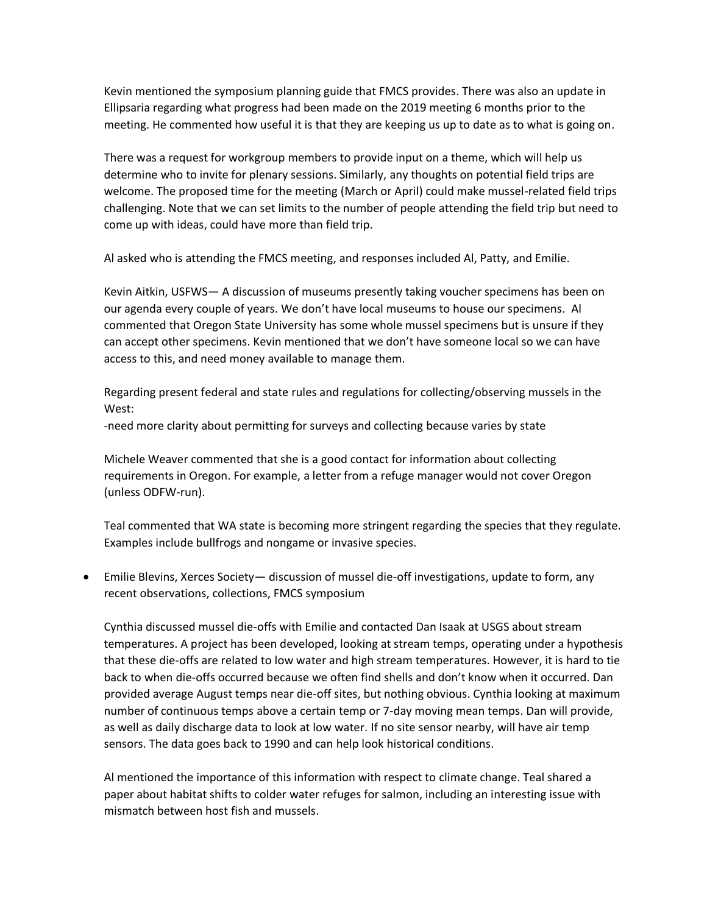Kevin mentioned the symposium planning guide that FMCS provides. There was also an update in Ellipsaria regarding what progress had been made on the 2019 meeting 6 months prior to the meeting. He commented how useful it is that they are keeping us up to date as to what is going on.

There was a request for workgroup members to provide input on a theme, which will help us determine who to invite for plenary sessions. Similarly, any thoughts on potential field trips are welcome. The proposed time for the meeting (March or April) could make mussel-related field trips challenging. Note that we can set limits to the number of people attending the field trip but need to come up with ideas, could have more than field trip.

Al asked who is attending the FMCS meeting, and responses included Al, Patty, and Emilie.

Kevin Aitkin, USFWS— A discussion of museums presently taking voucher specimens has been on our agenda every couple of years. We don't have local museums to house our specimens. Al commented that Oregon State University has some whole mussel specimens but is unsure if they can accept other specimens. Kevin mentioned that we don't have someone local so we can have access to this, and need money available to manage them.

Regarding present federal and state rules and regulations for collecting/observing mussels in the West:

-need more clarity about permitting for surveys and collecting because varies by state

Michele Weaver commented that she is a good contact for information about collecting requirements in Oregon. For example, a letter from a refuge manager would not cover Oregon (unless ODFW-run).

Teal commented that WA state is becoming more stringent regarding the species that they regulate. Examples include bullfrogs and nongame or invasive species.

• Emilie Blevins, Xerces Society— discussion of mussel die-off investigations, update to form, any recent observations, collections, FMCS symposium

Cynthia discussed mussel die-offs with Emilie and contacted Dan Isaak at USGS about stream temperatures. A project has been developed, looking at stream temps, operating under a hypothesis that these die-offs are related to low water and high stream temperatures. However, it is hard to tie back to when die-offs occurred because we often find shells and don't know when it occurred. Dan provided average August temps near die-off sites, but nothing obvious. Cynthia looking at maximum number of continuous temps above a certain temp or 7-day moving mean temps. Dan will provide, as well as daily discharge data to look at low water. If no site sensor nearby, will have air temp sensors. The data goes back to 1990 and can help look historical conditions.

Al mentioned the importance of this information with respect to climate change. Teal shared a paper about habitat shifts to colder water refuges for salmon, including an interesting issue with mismatch between host fish and mussels.